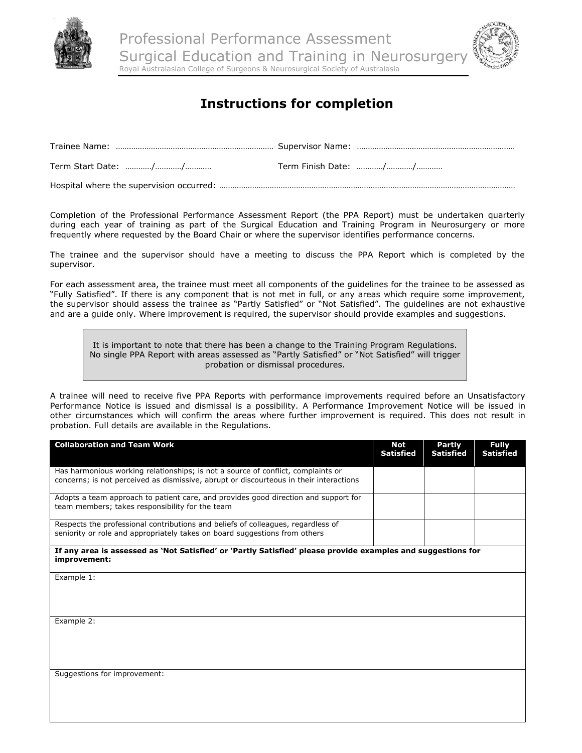

Professional Performance Assessment Surgical Education and Training in Neurosurger Royal Australasian College of Surgeons & Neurosurgical Society of Australasia

## **Instructions for completion**

Hospital where the supervision occurred: ………………………………………………………………………………………………………………………

Completion of the Professional Performance Assessment Report (the PPA Report) must be undertaken quarterly during each year of training as part of the Surgical Education and Training Program in Neurosurgery or more frequently where requested by the Board Chair or where the supervisor identifies performance concerns.

The trainee and the supervisor should have a meeting to discuss the PPA Report which is completed by the supervisor.

For each assessment area, the trainee must meet all components of the guidelines for the trainee to be assessed as "Fully Satisfied". If there is any component that is not met in full, or any areas which require some improvement, the supervisor should assess the trainee as "Partly Satisfied" or "Not Satisfied". The guidelines are not exhaustive and are a guide only. Where improvement is required, the supervisor should provide examples and suggestions.

It is important to note that there has been a change to the Training Program Regulations. No single PPA Report with areas assessed as "Partly Satisfied" or "Not Satisfied" will trigger probation or dismissal procedures.

A trainee will need to receive five PPA Reports with performance improvements required before an Unsatisfactory Performance Notice is issued and dismissal is a possibility. A Performance Improvement Notice will be issued in other circumstances which will confirm the areas where further improvement is required. This does not result in probation. Full details are available in the Regulations.

| <b>Collaboration and Team Work</b>                                                                                                                                         | Not<br><b>Satisfied</b> | Partly<br><b>Satisfied</b> | <b>Fully</b><br><b>Satisfied</b> |
|----------------------------------------------------------------------------------------------------------------------------------------------------------------------------|-------------------------|----------------------------|----------------------------------|
| Has harmonious working relationships; is not a source of conflict, complaints or<br>concerns; is not perceived as dismissive, abrupt or discourteous in their interactions |                         |                            |                                  |
| Adopts a team approach to patient care, and provides good direction and support for<br>team members; takes responsibility for the team                                     |                         |                            |                                  |
| Respects the professional contributions and beliefs of colleagues, regardless of<br>seniority or role and appropriately takes on board suggestions from others             |                         |                            |                                  |
| If any area is assessed as 'Not Satisfied' or 'Partly Satisfied' please provide examples and suggestions for<br>improvement:                                               |                         |                            |                                  |
| Example 1:                                                                                                                                                                 |                         |                            |                                  |
|                                                                                                                                                                            |                         |                            |                                  |
| Example 2:                                                                                                                                                                 |                         |                            |                                  |
|                                                                                                                                                                            |                         |                            |                                  |
| Suggestions for improvement:                                                                                                                                               |                         |                            |                                  |
|                                                                                                                                                                            |                         |                            |                                  |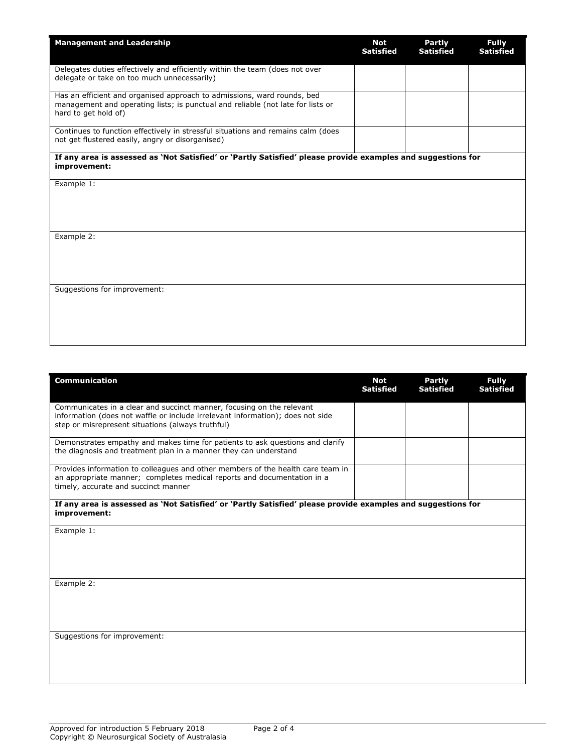| <b>Management and Leadership</b>                                                                                                                                                   | <b>Not</b><br><b>Satisfied</b> | <b>Partly</b><br><b>Satisfied</b> | <b>Fully</b><br><b>Satisfied</b> |  |
|------------------------------------------------------------------------------------------------------------------------------------------------------------------------------------|--------------------------------|-----------------------------------|----------------------------------|--|
| Delegates duties effectively and efficiently within the team (does not over<br>delegate or take on too much unnecessarily)                                                         |                                |                                   |                                  |  |
| Has an efficient and organised approach to admissions, ward rounds, bed<br>management and operating lists; is punctual and reliable (not late for lists or<br>hard to get hold of) |                                |                                   |                                  |  |
| Continues to function effectively in stressful situations and remains calm (does<br>not get flustered easily, angry or disorganised)                                               |                                |                                   |                                  |  |
| If any area is assessed as 'Not Satisfied' or 'Partly Satisfied' please provide examples and suggestions for<br>improvement:                                                       |                                |                                   |                                  |  |
| Example 1:                                                                                                                                                                         |                                |                                   |                                  |  |
|                                                                                                                                                                                    |                                |                                   |                                  |  |
| Example 2:                                                                                                                                                                         |                                |                                   |                                  |  |
|                                                                                                                                                                                    |                                |                                   |                                  |  |
| Suggestions for improvement:                                                                                                                                                       |                                |                                   |                                  |  |
|                                                                                                                                                                                    |                                |                                   |                                  |  |

| <b>Communication</b>                                                                                                                                                                                         | Not<br><b>Satisfied</b> | <b>Partly</b><br><b>Satisfied</b> | <b>Fully</b><br><b>Satisfied</b> |
|--------------------------------------------------------------------------------------------------------------------------------------------------------------------------------------------------------------|-------------------------|-----------------------------------|----------------------------------|
| Communicates in a clear and succinct manner, focusing on the relevant<br>information (does not waffle or include irrelevant information); does not side<br>step or misrepresent situations (always truthful) |                         |                                   |                                  |
| Demonstrates empathy and makes time for patients to ask questions and clarify<br>the diagnosis and treatment plan in a manner they can understand                                                            |                         |                                   |                                  |
| Provides information to colleagues and other members of the health care team in<br>an appropriate manner; completes medical reports and documentation in a<br>timely, accurate and succinct manner           |                         |                                   |                                  |
| If any area is assessed as 'Not Satisfied' or 'Partly Satisfied' please provide examples and suggestions for<br>improvement:                                                                                 |                         |                                   |                                  |
| Example 1:                                                                                                                                                                                                   |                         |                                   |                                  |
| Example 2:                                                                                                                                                                                                   |                         |                                   |                                  |
| Suggestions for improvement:                                                                                                                                                                                 |                         |                                   |                                  |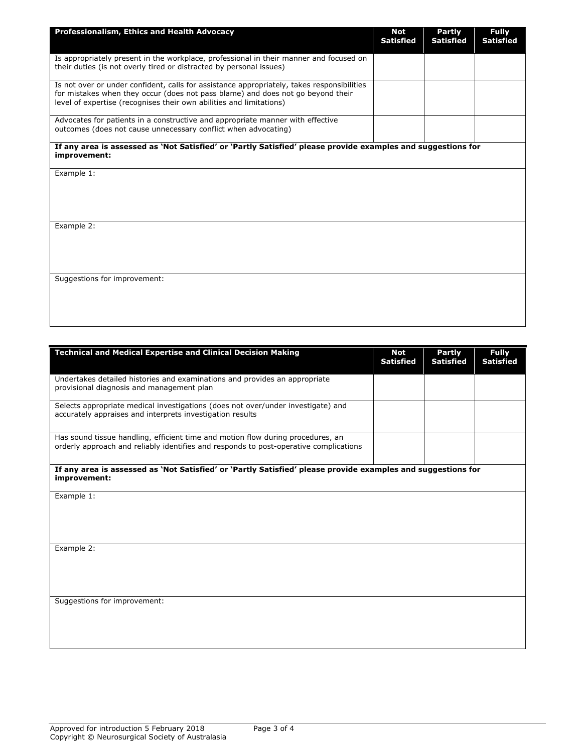| Professionalism, Ethics and Health Advocacy                                                                                                                                                                                                          | <b>Not</b><br><b>Satisfied</b> | <b>Partly</b><br><b>Satisfied</b> | <b>Fully</b><br><b>Satisfied</b> |
|------------------------------------------------------------------------------------------------------------------------------------------------------------------------------------------------------------------------------------------------------|--------------------------------|-----------------------------------|----------------------------------|
| Is appropriately present in the workplace, professional in their manner and focused on<br>their duties (is not overly tired or distracted by personal issues)                                                                                        |                                |                                   |                                  |
| Is not over or under confident, calls for assistance appropriately, takes responsibilities<br>for mistakes when they occur (does not pass blame) and does not go beyond their<br>level of expertise (recognises their own abilities and limitations) |                                |                                   |                                  |
| Advocates for patients in a constructive and appropriate manner with effective<br>outcomes (does not cause unnecessary conflict when advocating)                                                                                                     |                                |                                   |                                  |
| If any area is assessed as 'Not Satisfied' or 'Partly Satisfied' please provide examples and suggestions for<br>improvement:                                                                                                                         |                                |                                   |                                  |
| Example 1:                                                                                                                                                                                                                                           |                                |                                   |                                  |
| Example 2:                                                                                                                                                                                                                                           |                                |                                   |                                  |
| Suggestions for improvement:                                                                                                                                                                                                                         |                                |                                   |                                  |

| <b>Technical and Medical Expertise and Clinical Decision Making</b>                                                                                                      | <b>Not</b><br><b>Satisfied</b> | <b>Partly</b><br><b>Satisfied</b> | <b>Fully</b><br><b>Satisfied</b> |
|--------------------------------------------------------------------------------------------------------------------------------------------------------------------------|--------------------------------|-----------------------------------|----------------------------------|
| Undertakes detailed histories and examinations and provides an appropriate<br>provisional diagnosis and management plan                                                  |                                |                                   |                                  |
| Selects appropriate medical investigations (does not over/under investigate) and<br>accurately appraises and interprets investigation results                            |                                |                                   |                                  |
| Has sound tissue handling, efficient time and motion flow during procedures, an<br>orderly approach and reliably identifies and responds to post-operative complications |                                |                                   |                                  |
| If any area is assessed as 'Not Satisfied' or 'Partly Satisfied' please provide examples and suggestions for<br>improvement:                                             |                                |                                   |                                  |
| Example 1:                                                                                                                                                               |                                |                                   |                                  |
|                                                                                                                                                                          |                                |                                   |                                  |
| Example 2:                                                                                                                                                               |                                |                                   |                                  |
|                                                                                                                                                                          |                                |                                   |                                  |
| Suggestions for improvement:                                                                                                                                             |                                |                                   |                                  |
|                                                                                                                                                                          |                                |                                   |                                  |